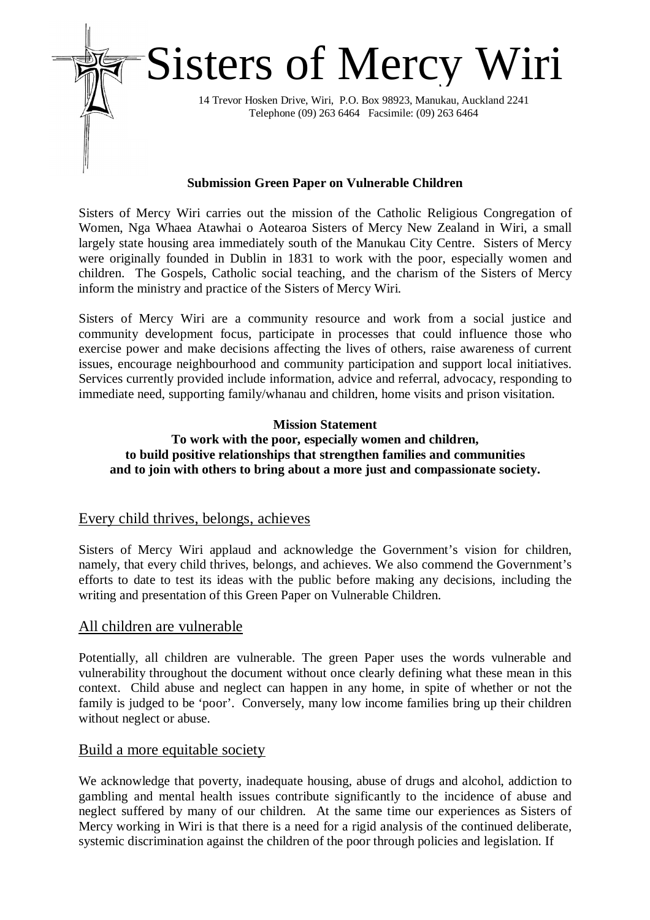

#### **Submission Green Paper on Vulnerable Children**

Sisters of Mercy Wiri carries out the mission of the Catholic Religious Congregation of Women, Nga Whaea Atawhai o Aotearoa Sisters of Mercy New Zealand in Wiri, a small largely state housing area immediately south of the Manukau City Centre. Sisters of Mercy were originally founded in Dublin in 1831 to work with the poor, especially women and children. The Gospels, Catholic social teaching, and the charism of the Sisters of Mercy inform the ministry and practice of the Sisters of Mercy Wiri.

Sisters of Mercy Wiri are a community resource and work from a social justice and community development focus, participate in processes that could influence those who exercise power and make decisions affecting the lives of others, raise awareness of current issues, encourage neighbourhood and community participation and support local initiatives. Services currently provided include information, advice and referral, advocacy, responding to immediate need, supporting family/whanau and children, home visits and prison visitation.

# **Mission Statement**

## **To work with the poor, especially women and children, to build positive relationships that strengthen families and communities and to join with others to bring about a more just and compassionate society.**

### Every child thrives, belongs, achieves

Sisters of Mercy Wiri applaud and acknowledge the Government's vision for children, namely, that every child thrives, belongs, and achieves. We also commend the Government's efforts to date to test its ideas with the public before making any decisions, including the writing and presentation of this Green Paper on Vulnerable Children.

### All children are vulnerable

Potentially, all children are vulnerable. The green Paper uses the words vulnerable and vulnerability throughout the document without once clearly defining what these mean in this context. Child abuse and neglect can happen in any home, in spite of whether or not the family is judged to be 'poor'. Conversely, many low income families bring up their children without neglect or abuse.

### Build a more equitable society

We acknowledge that poverty, inadequate housing, abuse of drugs and alcohol, addiction to gambling and mental health issues contribute significantly to the incidence of abuse and neglect suffered by many of our children. At the same time our experiences as Sisters of Mercy working in Wiri is that there is a need for a rigid analysis of the continued deliberate, systemic discrimination against the children of the poor through policies and legislation. If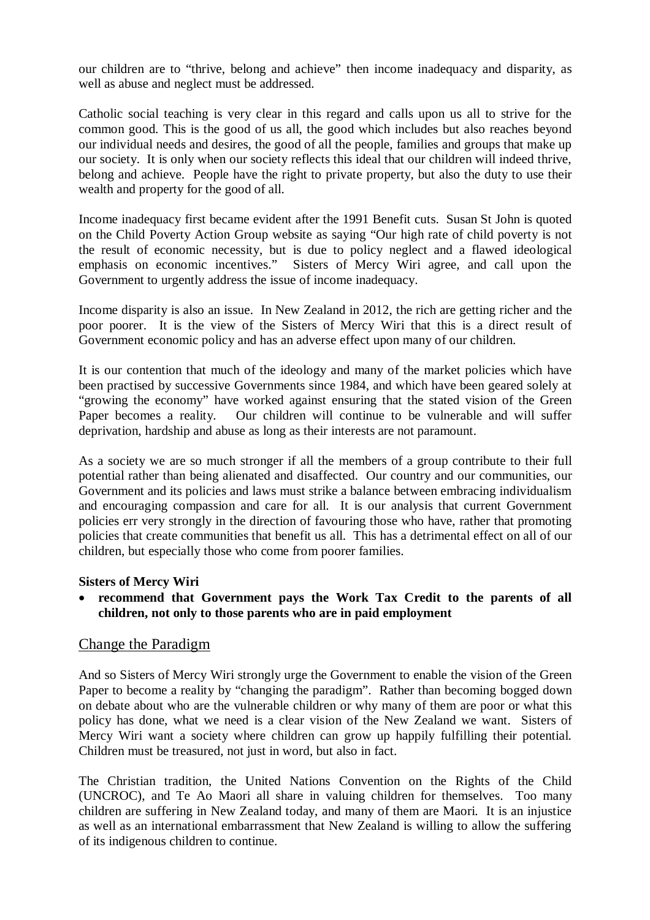our children are to "thrive, belong and achieve" then income inadequacy and disparity, as well as abuse and neglect must be addressed.

Catholic social teaching is very clear in this regard and calls upon us all to strive for the common good. This is the good of us all, the good which includes but also reaches beyond our individual needs and desires, the good of all the people, families and groups that make up our society. It is only when our society reflects this ideal that our children will indeed thrive, belong and achieve. People have the right to private property, but also the duty to use their wealth and property for the good of all.

Income inadequacy first became evident after the 1991 Benefit cuts. Susan St John is quoted on the Child Poverty Action Group website as saying "Our high rate of child poverty is not the result of economic necessity, but is due to policy neglect and a flawed ideological emphasis on economic incentives." Sisters of Mercy Wiri agree, and call upon the Government to urgently address the issue of income inadequacy.

Income disparity is also an issue. In New Zealand in 2012, the rich are getting richer and the poor poorer. It is the view of the Sisters of Mercy Wiri that this is a direct result of Government economic policy and has an adverse effect upon many of our children.

It is our contention that much of the ideology and many of the market policies which have been practised by successive Governments since 1984, and which have been geared solely at "growing the economy" have worked against ensuring that the stated vision of the Green Paper becomes a reality. Our children will continue to be vulnerable and will suffer deprivation, hardship and abuse as long as their interests are not paramount.

As a society we are so much stronger if all the members of a group contribute to their full potential rather than being alienated and disaffected. Our country and our communities, our Government and its policies and laws must strike a balance between embracing individualism and encouraging compassion and care for all. It is our analysis that current Government policies err very strongly in the direction of favouring those who have, rather that promoting policies that create communities that benefit us all. This has a detrimental effect on all of our children, but especially those who come from poorer families.

#### **Sisters of Mercy Wiri**

 **recommend that Government pays the Work Tax Credit to the parents of all children, not only to those parents who are in paid employment**

### Change the Paradigm

And so Sisters of Mercy Wiri strongly urge the Government to enable the vision of the Green Paper to become a reality by "changing the paradigm". Rather than becoming bogged down on debate about who are the vulnerable children or why many of them are poor or what this policy has done, what we need is a clear vision of the New Zealand we want. Sisters of Mercy Wiri want a society where children can grow up happily fulfilling their potential. Children must be treasured, not just in word, but also in fact.

The Christian tradition, the United Nations Convention on the Rights of the Child (UNCROC), and Te Ao Maori all share in valuing children for themselves. Too many children are suffering in New Zealand today, and many of them are Maori. It is an injustice as well as an international embarrassment that New Zealand is willing to allow the suffering of its indigenous children to continue.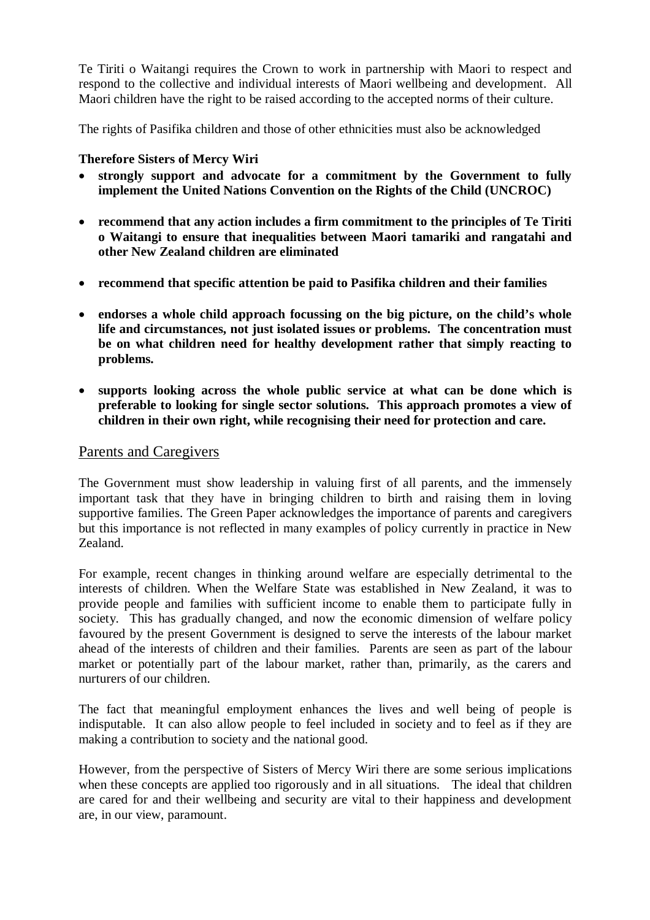Te Tiriti o Waitangi requires the Crown to work in partnership with Maori to respect and respond to the collective and individual interests of Maori wellbeing and development. All Maori children have the right to be raised according to the accepted norms of their culture.

The rights of Pasifika children and those of other ethnicities must also be acknowledged

#### **Therefore Sisters of Mercy Wiri**

- **strongly support and advocate for a commitment by the Government to fully implement the United Nations Convention on the Rights of the Child (UNCROC)**
- **recommend that any action includes a firm commitment to the principles of Te Tiriti o Waitangi to ensure that inequalities between Maori tamariki and rangatahi and other New Zealand children are eliminated**
- **recommend that specific attention be paid to Pasifika children and their families**
- **endorses a whole child approach focussing on the big picture, on the child's whole life and circumstances, not just isolated issues or problems. The concentration must be on what children need for healthy development rather that simply reacting to problems.**
- **supports looking across the whole public service at what can be done which is preferable to looking for single sector solutions. This approach promotes a view of children in their own right, while recognising their need for protection and care.**

### Parents and Caregivers

The Government must show leadership in valuing first of all parents, and the immensely important task that they have in bringing children to birth and raising them in loving supportive families. The Green Paper acknowledges the importance of parents and caregivers but this importance is not reflected in many examples of policy currently in practice in New Zealand.

For example, recent changes in thinking around welfare are especially detrimental to the interests of children. When the Welfare State was established in New Zealand, it was to provide people and families with sufficient income to enable them to participate fully in society. This has gradually changed, and now the economic dimension of welfare policy favoured by the present Government is designed to serve the interests of the labour market ahead of the interests of children and their families. Parents are seen as part of the labour market or potentially part of the labour market, rather than, primarily, as the carers and nurturers of our children.

The fact that meaningful employment enhances the lives and well being of people is indisputable. It can also allow people to feel included in society and to feel as if they are making a contribution to society and the national good.

However, from the perspective of Sisters of Mercy Wiri there are some serious implications when these concepts are applied too rigorously and in all situations. The ideal that children are cared for and their wellbeing and security are vital to their happiness and development are, in our view, paramount.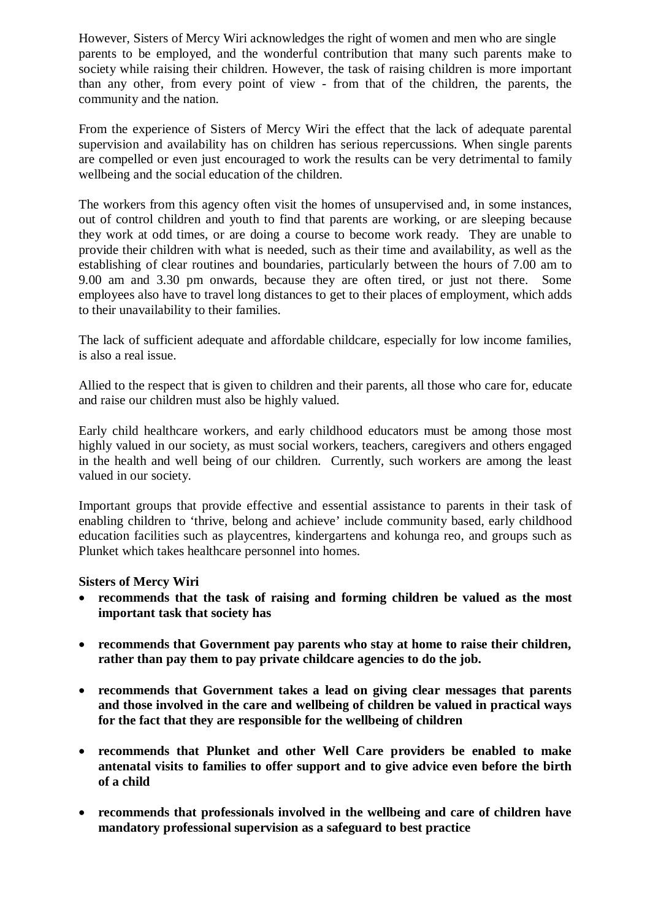However, Sisters of Mercy Wiri acknowledges the right of women and men who are single parents to be employed, and the wonderful contribution that many such parents make to society while raising their children. However, the task of raising children is more important than any other, from every point of view - from that of the children, the parents, the community and the nation.

From the experience of Sisters of Mercy Wiri the effect that the lack of adequate parental supervision and availability has on children has serious repercussions. When single parents are compelled or even just encouraged to work the results can be very detrimental to family wellbeing and the social education of the children.

The workers from this agency often visit the homes of unsupervised and, in some instances, out of control children and youth to find that parents are working, or are sleeping because they work at odd times, or are doing a course to become work ready. They are unable to provide their children with what is needed, such as their time and availability, as well as the establishing of clear routines and boundaries, particularly between the hours of 7.00 am to 9.00 am and 3.30 pm onwards, because they are often tired, or just not there. Some employees also have to travel long distances to get to their places of employment, which adds to their unavailability to their families.

The lack of sufficient adequate and affordable childcare, especially for low income families, is also a real issue.

Allied to the respect that is given to children and their parents, all those who care for, educate and raise our children must also be highly valued.

Early child healthcare workers, and early childhood educators must be among those most highly valued in our society, as must social workers, teachers, caregivers and others engaged in the health and well being of our children. Currently, such workers are among the least valued in our society.

Important groups that provide effective and essential assistance to parents in their task of enabling children to 'thrive, belong and achieve' include community based, early childhood education facilities such as playcentres, kindergartens and kohunga reo, and groups such as Plunket which takes healthcare personnel into homes.

#### **Sisters of Mercy Wiri**

- **recommends that the task of raising and forming children be valued as the most important task that society has**
- **recommends that Government pay parents who stay at home to raise their children, rather than pay them to pay private childcare agencies to do the job.**
- **recommends that Government takes a lead on giving clear messages that parents and those involved in the care and wellbeing of children be valued in practical ways for the fact that they are responsible for the wellbeing of children**
- **recommends that Plunket and other Well Care providers be enabled to make antenatal visits to families to offer support and to give advice even before the birth of a child**
- **recommends that professionals involved in the wellbeing and care of children have mandatory professional supervision as a safeguard to best practice**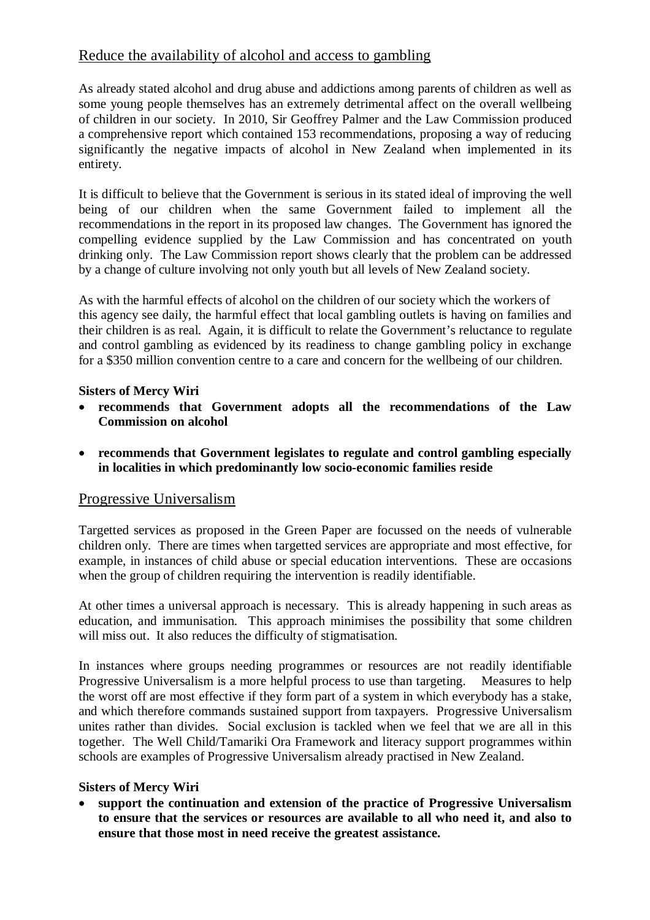# Reduce the availability of alcohol and access to gambling

As already stated alcohol and drug abuse and addictions among parents of children as well as some young people themselves has an extremely detrimental affect on the overall wellbeing of children in our society. In 2010, Sir Geoffrey Palmer and the Law Commission produced a comprehensive report which contained 153 recommendations, proposing a way of reducing significantly the negative impacts of alcohol in New Zealand when implemented in its entirety.

It is difficult to believe that the Government is serious in its stated ideal of improving the well being of our children when the same Government failed to implement all the recommendations in the report in its proposed law changes. The Government has ignored the compelling evidence supplied by the Law Commission and has concentrated on youth drinking only. The Law Commission report shows clearly that the problem can be addressed by a change of culture involving not only youth but all levels of New Zealand society.

As with the harmful effects of alcohol on the children of our society which the workers of this agency see daily, the harmful effect that local gambling outlets is having on families and their children is as real. Again, it is difficult to relate the Government's reluctance to regulate and control gambling as evidenced by its readiness to change gambling policy in exchange for a \$350 million convention centre to a care and concern for the wellbeing of our children.

## **Sisters of Mercy Wiri**

- **recommends that Government adopts all the recommendations of the Law Commission on alcohol**
- **recommends that Government legislates to regulate and control gambling especially in localities in which predominantly low socio-economic families reside**

## Progressive Universalism

Targetted services as proposed in the Green Paper are focussed on the needs of vulnerable children only. There are times when targetted services are appropriate and most effective, for example, in instances of child abuse or special education interventions. These are occasions when the group of children requiring the intervention is readily identifiable.

At other times a universal approach is necessary. This is already happening in such areas as education, and immunisation. This approach minimises the possibility that some children will miss out. It also reduces the difficulty of stigmatisation.

In instances where groups needing programmes or resources are not readily identifiable Progressive Universalism is a more helpful process to use than targeting. Measures to help the worst off are most effective if they form part of a system in which everybody has a stake, and which therefore commands sustained support from taxpayers. Progressive Universalism unites rather than divides. Social exclusion is tackled when we feel that we are all in this together. The Well Child/Tamariki Ora Framework and literacy support programmes within schools are examples of Progressive Universalism already practised in New Zealand.

### **Sisters of Mercy Wiri**

 **support the continuation and extension of the practice of Progressive Universalism to ensure that the services or resources are available to all who need it, and also to ensure that those most in need receive the greatest assistance.**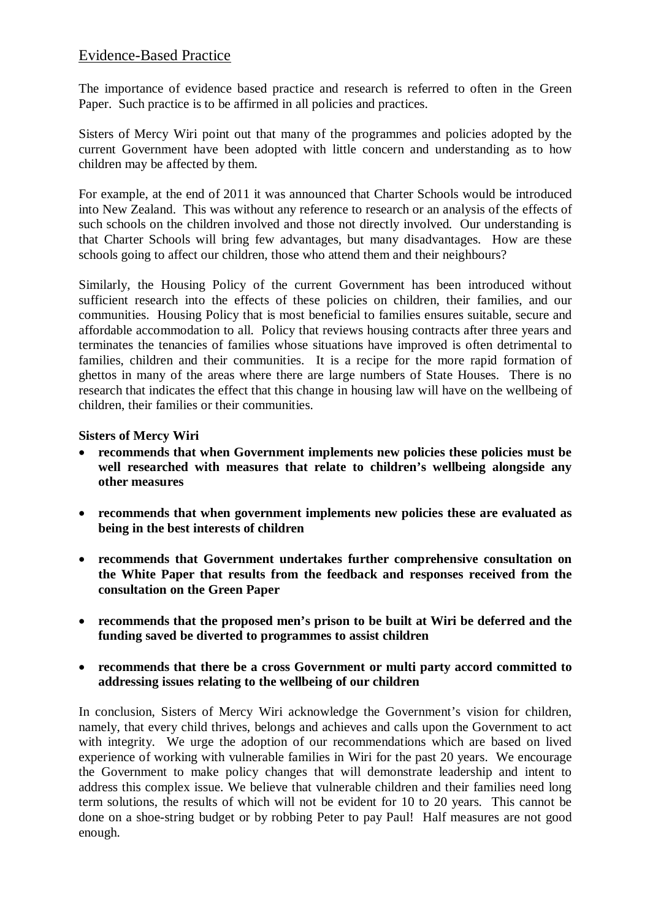## Evidence-Based Practice

The importance of evidence based practice and research is referred to often in the Green Paper. Such practice is to be affirmed in all policies and practices.

Sisters of Mercy Wiri point out that many of the programmes and policies adopted by the current Government have been adopted with little concern and understanding as to how children may be affected by them.

For example, at the end of 2011 it was announced that Charter Schools would be introduced into New Zealand. This was without any reference to research or an analysis of the effects of such schools on the children involved and those not directly involved. Our understanding is that Charter Schools will bring few advantages, but many disadvantages. How are these schools going to affect our children, those who attend them and their neighbours?

Similarly, the Housing Policy of the current Government has been introduced without sufficient research into the effects of these policies on children, their families, and our communities. Housing Policy that is most beneficial to families ensures suitable, secure and affordable accommodation to all. Policy that reviews housing contracts after three years and terminates the tenancies of families whose situations have improved is often detrimental to families, children and their communities. It is a recipe for the more rapid formation of ghettos in many of the areas where there are large numbers of State Houses. There is no research that indicates the effect that this change in housing law will have on the wellbeing of children, their families or their communities.

#### **Sisters of Mercy Wiri**

- **recommends that when Government implements new policies these policies must be well researched with measures that relate to children's wellbeing alongside any other measures**
- **recommends that when government implements new policies these are evaluated as being in the best interests of children**
- **recommends that Government undertakes further comprehensive consultation on the White Paper that results from the feedback and responses received from the consultation on the Green Paper**
- **recommends that the proposed men's prison to be built at Wiri be deferred and the funding saved be diverted to programmes to assist children**
- **recommends that there be a cross Government or multi party accord committed to addressing issues relating to the wellbeing of our children**

In conclusion, Sisters of Mercy Wiri acknowledge the Government's vision for children, namely, that every child thrives, belongs and achieves and calls upon the Government to act with integrity. We urge the adoption of our recommendations which are based on lived experience of working with vulnerable families in Wiri for the past 20 years. We encourage the Government to make policy changes that will demonstrate leadership and intent to address this complex issue. We believe that vulnerable children and their families need long term solutions, the results of which will not be evident for 10 to 20 years. This cannot be done on a shoe-string budget or by robbing Peter to pay Paul! Half measures are not good enough.